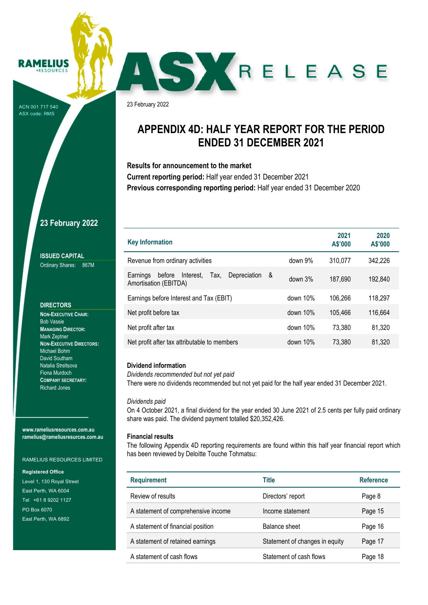#### **RAMELIUS**  $PFCOIPCE$

ACN 001 717 540 ASX code: RMS

23 February 2022

### **APPENDIX 4D: HALF YEAR REPORT FOR THE PERIOD ENDED 31 DECEMBER 2021**

SKRELEASE

**Results for announcement to the market** 

**Current reporting period:** Half year ended 31 December 2021 **Previous corresponding reporting period:** Half year ended 31 December 2020

### **23 February 2022**

**ISSUED CAPITAL**  Ordinary Shares: 867M

#### **DIRECTORS**

**NON-EXECUTIVE CHAIR:**  Bob Vassie **MANAGING DIRECTOR:**  Mark Zeptner **NON-EXECUTIVE DIRECTORS:**  Michael Bohm David Southam Natalia Streltsova Fiona Murdoch **COMPANY SECRETARY:**  Richard Jones

**www.rameliusresources.com.au ramelius@rameliusresurces.com.au** 

RAMELIUS RESOURCES LIMITED

#### **Registered Office**

Level 1, 130 Royal Street East Perth, WA 6004 Tel +61 8 9202 1127 PO Box 6070 East Perth, WA 6892

| <b>Key Information</b>                                                                  |             | 2021<br>A\$'000 | 2020<br>A\$'000 |
|-----------------------------------------------------------------------------------------|-------------|-----------------|-----------------|
| Revenue from ordinary activities                                                        | down 9%     | 310,077         | 342,226         |
| Depreciation<br>Interest.<br>Earnings<br>Tax.<br>before<br>- &<br>Amortisation (EBITDA) | down 3%     | 187,690         | 192,840         |
| Earnings before Interest and Tax (EBIT)                                                 | down $10\%$ | 106,266         | 118,297         |
| Net profit before tax                                                                   | down $10\%$ | 105,466         | 116,664         |
| Net profit after tax                                                                    | down $10\%$ | 73.380          | 81,320          |
| Net profit after tax attributable to members                                            | down $10\%$ | 73.380          | 81,320          |

### **Dividend information**

*Dividends recommended but not yet paid* 

There were no dividends recommended but not yet paid for the half year ended 31 December 2021.

#### *Dividends paid*

On 4 October 2021, a final dividend for the year ended 30 June 2021 of 2.5 cents per fully paid ordinary share was paid. The dividend payment totalled \$20,352,426.

#### **Financial results**

The following Appendix 4D reporting requirements are found within this half year financial report which has been reviewed by Deloitte Touche Tohmatsu:

| <b>Requirement</b>                  | <b>Title</b>                   | <b>Reference</b> |
|-------------------------------------|--------------------------------|------------------|
| Review of results                   | Directors' report              | Page 8           |
| A statement of comprehensive income | Income statement               | Page 15          |
| A statement of financial position   | Balance sheet                  | Page 16          |
| A statement of retained earnings    | Statement of changes in equity | Page 17          |
| A statement of cash flows           | Statement of cash flows        | Page 18          |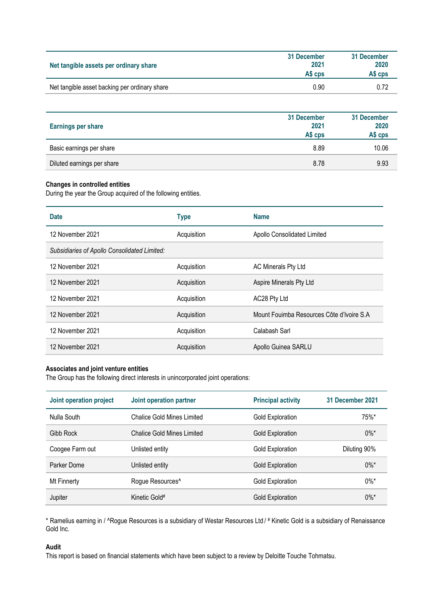| Net tangible assets per ordinary share        | 31 December<br>2021<br>AS CDS | 31 December<br>2020<br>AS cps |
|-----------------------------------------------|-------------------------------|-------------------------------|
| Net tangible asset backing per ordinary share | 0.90                          | 0.72                          |

| <b>Earnings per share</b>  | 31 December<br>2021<br>A\$ cps | 31 December<br>2020<br>A\$ cps |
|----------------------------|--------------------------------|--------------------------------|
| Basic earnings per share   | 8.89                           | 10.06                          |
| Diluted earnings per share | 8.78                           | 9.93                           |

### **Changes in controlled entities**

During the year the Group acquired of the following entities.

| <b>Date</b>                                  | <b>Type</b> | <b>Name</b>                               |
|----------------------------------------------|-------------|-------------------------------------------|
| 12 November 2021                             | Acquisition | Apollo Consolidated Limited               |
| Subsidiaries of Apollo Consolidated Limited: |             |                                           |
| 12 November 2021                             | Acquisition | AC Minerals Pty Ltd                       |
| 12 November 2021                             | Acquisition | Aspire Minerals Pty Ltd                   |
| 12 November 2021                             | Acquisition | AC28 Pty Ltd                              |
| 12 November 2021                             | Acquisition | Mount Fouimba Resources Côte d'Ivoire S.A |
| 12 November 2021                             | Acquisition | Calabash Sarl                             |
| 12 November 2021                             | Acquisition | Apollo Guinea SARLU                       |

### **Associates and joint venture entities**

The Group has the following direct interests in unincorporated joint operations:

| Joint operation project | Joint operation partner           | <b>Principal activity</b> | 31 December 2021 |
|-------------------------|-----------------------------------|---------------------------|------------------|
| Nulla South             | <b>Chalice Gold Mines Limited</b> | Gold Exploration          | 75%*             |
| Gibb Rock               | <b>Chalice Gold Mines Limited</b> | <b>Gold Exploration</b>   | $0\%$ *          |
| Coogee Farm out         | Unlisted entity                   | Gold Exploration          | Diluting 90%     |
| Parker Dome             | Unlisted entity                   | <b>Gold Exploration</b>   | $0\%$ *          |
| Mt Finnerty             | Rogue Resources <sup>^</sup>      | Gold Exploration          | $0\%$ *          |
| Jupiter                 | Kinetic Gold#                     | Gold Exploration          | 0%*              |

\* Ramelius earning in / ^Rogue Resources is a subsidiary of Westar Resources Ltd / # Kinetic Gold is a subsidiary of Renaissance Gold Inc.

### **Audit**

This report is based on financial statements which have been subject to a review by Deloitte Touche Tohmatsu.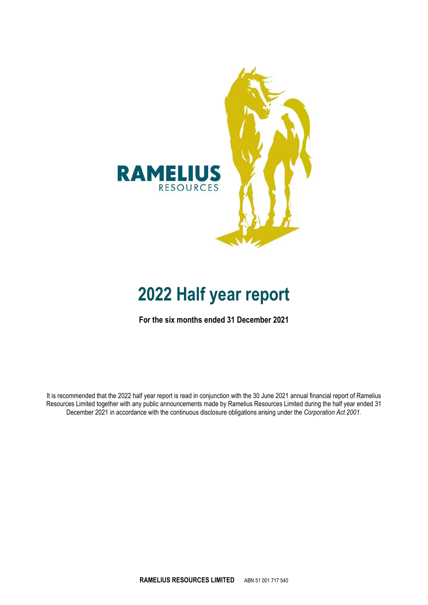

## **2022 Half year report**

**For the six months ended 31 December 2021** 

It is recommended that the 2022 half year report is read in conjunction with the 30 June 2021 annual financial report of Ramelius Resources Limited together with any public announcements made by Ramelius Resources Limited during the half year ended 31 December 2021 in accordance with the continuous disclosure obligations arising under the *Corporation Act 2001.*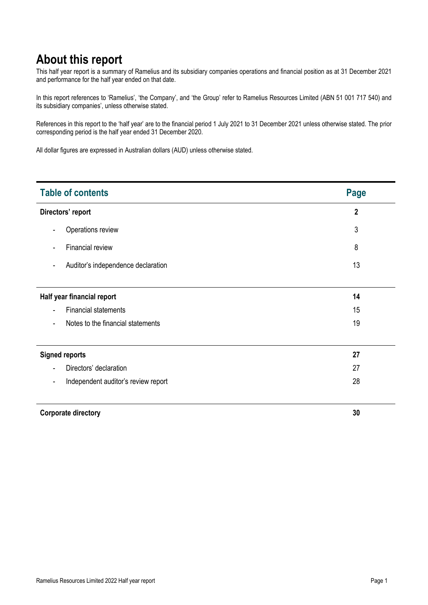### **About this report**

This half year report is a summary of Ramelius and its subsidiary companies operations and financial position as at 31 December 2021 and performance for the half year ended on that date.

In this report references to 'Ramelius', 'the Company', and 'the Group' refer to Ramelius Resources Limited (ABN 51 001 717 540) and its subsidiary companies', unless otherwise stated.

References in this report to the 'half year' are to the financial period 1 July 2021 to 31 December 2021 unless otherwise stated. The prior corresponding period is the half year ended 31 December 2020.

All dollar figures are expressed in Australian dollars (AUD) unless otherwise stated.

| <b>Table of contents</b>                                       | <b>Page</b>    |
|----------------------------------------------------------------|----------------|
| Directors' report                                              | $\overline{2}$ |
| Operations review<br>$\overline{\phantom{a}}$                  | 3              |
| Financial review<br>٠                                          | 8              |
| Auditor's independence declaration<br>$\overline{\phantom{a}}$ | 13             |
|                                                                |                |
| Half year financial report                                     | 14             |
| <b>Financial statements</b><br>٠                               | 15             |
| Notes to the financial statements<br>$\overline{\phantom{a}}$  | 19             |
|                                                                |                |
| <b>Signed reports</b>                                          | 27             |
| Directors' declaration<br>٠                                    | 27             |
| Independent auditor's review report<br>۰                       | 28             |
| <b>Corporate directory</b>                                     | 30             |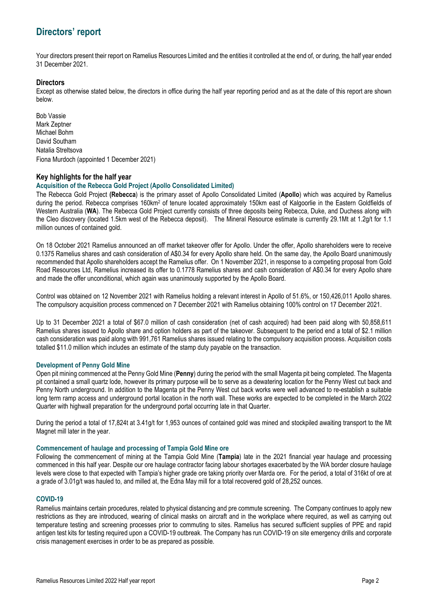Your directors present their report on Ramelius Resources Limited and the entities it controlled at the end of, or during, the half year ended 31 December 2021.

### **Directors**

Except as otherwise stated below, the directors in office during the half year reporting period and as at the date of this report are shown below.

Bob Vassie Mark Zeptner Michael Bohm David Southam Natalia Streltsova Fiona Murdoch (appointed 1 December 2021)

### **Key highlights for the half year**

### **Acquisition of the Rebecca Gold Project (Apollo Consolidated Limited)**

The Rebecca Gold Project **(Rebecca**) is the primary asset of Apollo Consolidated Limited (**Apollo**) which was acquired by Ramelius during the period. Rebecca comprises 160km<sup>2</sup> of tenure located approximately 150km east of Kalgoorlie in the Eastern Goldfields of Western Australia (**WA**). The Rebecca Gold Project currently consists of three deposits being Rebecca, Duke, and Duchess along with the Cleo discovery (located 1.5km west of the Rebecca deposit). The Mineral Resource estimate is currently 29.1Mt at 1.2g/t for 1.1 million ounces of contained gold.

On 18 October 2021 Ramelius announced an off market takeover offer for Apollo. Under the offer, Apollo shareholders were to receive 0.1375 Ramelius shares and cash consideration of A\$0.34 for every Apollo share held. On the same day, the Apollo Board unanimously recommended that Apollo shareholders accept the Ramelius offer. On 1 November 2021, in response to a competing proposal from Gold Road Resources Ltd, Ramelius increased its offer to 0.1778 Ramelius shares and cash consideration of A\$0.34 for every Apollo share and made the offer unconditional, which again was unanimously supported by the Apollo Board.

Control was obtained on 12 November 2021 with Ramelius holding a relevant interest in Apollo of 51.6%, or 150,426,011 Apollo shares. The compulsory acquisition process commenced on 7 December 2021 with Ramelius obtaining 100% control on 17 December 2021.

Up to 31 December 2021 a total of \$67.0 million of cash consideration (net of cash acquired) had been paid along with 50,858,611 Ramelius shares issued to Apollo share and option holders as part of the takeover. Subsequent to the period end a total of \$2.1 million cash consideration was paid along with 991,761 Ramelius shares issued relating to the compulsory acquisition process. Acquisition costs totalled \$11.0 million which includes an estimate of the stamp duty payable on the transaction.

### **Development of Penny Gold Mine**

Open pit mining commenced at the Penny Gold Mine (**Penny**) during the period with the small Magenta pit being completed. The Magenta pit contained a small quartz lode, however its primary purpose will be to serve as a dewatering location for the Penny West cut back and Penny North underground. In addition to the Magenta pit the Penny West cut back works were well advanced to re-establish a suitable long term ramp access and underground portal location in the north wall. These works are expected to be completed in the March 2022 Quarter with highwall preparation for the underground portal occurring late in that Quarter.

During the period a total of 17,824t at 3.41g/t for 1,953 ounces of contained gold was mined and stockpiled awaiting transport to the Mt Magnet mill later in the year.

### **Commencement of haulage and processing of Tampia Gold Mine ore**

Following the commencement of mining at the Tampia Gold Mine (**Tampia**) late in the 2021 financial year haulage and processing commenced in this half year. Despite our ore haulage contractor facing labour shortages exacerbated by the WA border closure haulage levels were close to that expected with Tampia's higher grade ore taking priority over Marda ore. For the period, a total of 316kt of ore at a grade of 3.01g/t was hauled to, and milled at, the Edna May mill for a total recovered gold of 28,252 ounces.

### **COVID-19**

Ramelius maintains certain procedures, related to physical distancing and pre commute screening. The Company continues to apply new restrictions as they are introduced, wearing of clinical masks on aircraft and in the workplace where required, as well as carrying out temperature testing and screening processes prior to commuting to sites. Ramelius has secured sufficient supplies of PPE and rapid antigen test kits for testing required upon a COVID-19 outbreak. The Company has run COVID-19 on site emergency drills and corporate crisis management exercises in order to be as prepared as possible.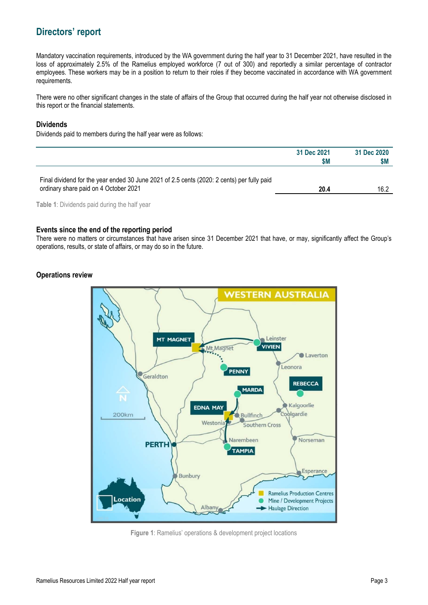Mandatory vaccination requirements, introduced by the WA government during the half year to 31 December 2021, have resulted in the loss of approximately 2.5% of the Ramelius employed workforce (7 out of 300) and reportedly a similar percentage of contractor employees. These workers may be in a position to return to their roles if they become vaccinated in accordance with WA government requirements.

There were no other significant changes in the state of affairs of the Group that occurred during the half year not otherwise disclosed in this report or the financial statements.

### **Dividends**

Dividends paid to members during the half year were as follows:

|                                                                                                                                     | 31 Dec 2021<br>\$M | 31 Dec 2020<br>\$M |
|-------------------------------------------------------------------------------------------------------------------------------------|--------------------|--------------------|
| Final dividend for the year ended 30 June 2021 of 2.5 cents (2020: 2 cents) per fully paid<br>ordinary share paid on 4 October 2021 | 20.4               | 16.2               |

**Table 1**: Dividends paid during the half year

### **Events since the end of the reporting period**

There were no matters or circumstances that have arisen since 31 December 2021 that have, or may, significantly affect the Group's operations, results, or state of affairs, or may do so in the future.

### **Operations review**



**Figure 1**: Ramelius' operations & development project locations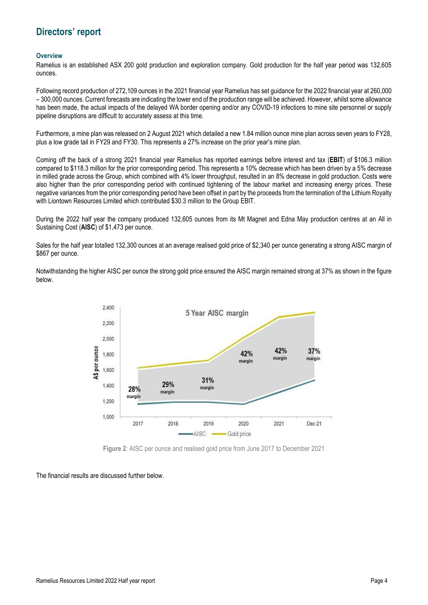#### **Overview**

Ramelius is an established ASX 200 gold production and exploration company. Gold production for the half year period was 132,605 ounces.

Following record production of 272,109 ounces in the 2021 financial year Ramelius has set guidance for the 2022 financial year at 260,000 – 300,000 ounces. Current forecasts are indicating the lower end of the production range will be achieved. However, whilst some allowance has been made, the actual impacts of the delayed WA border opening and/or any COVID-19 infections to mine site personnel or supply pipeline disruptions are difficult to accurately assess at this time.

Furthermore, a mine plan was released on 2 August 2021 which detailed a new 1.84 million ounce mine plan across seven years to FY28, plus a low grade tail in FY29 and FY30. This represents a 27% increase on the prior year's mine plan.

Coming off the back of a strong 2021 financial year Ramelius has reported earnings before interest and tax (**EBIT**) of \$106.3 million compared to \$118.3 million for the prior corresponding period. This represents a 10% decrease which has been driven by a 5% decrease in milled grade across the Group, which combined with 4% lower throughput, resulted in an 8% decrease in gold production. Costs were also higher than the prior corresponding period with continued tightening of the labour market and increasing energy prices. These negative variances from the prior corresponding period have been offset in part by the proceeds from the termination of the Lithium Royalty with Liontown Resources Limited which contributed \$30.3 million to the Group EBIT.

During the 2022 half year the company produced 132,605 ounces from its Mt Magnet and Edna May production centres at an All in Sustaining Cost (**AISC**) of \$1,473 per ounce.

Sales for the half year totalled 132,300 ounces at an average realised gold price of \$2,340 per ounce generating a strong AISC margin of \$867 per ounce.

Notwithstanding the higher AISC per ounce the strong gold price ensured the AISC margin remained strong at 37% as shown in the figure below.



**Figure 2**: AISC per ounce and realised gold price from June 2017 to December 2021

The financial results are discussed further below.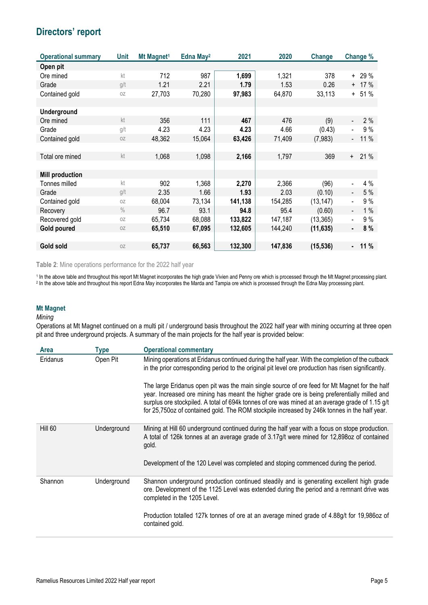| <b>Operational summary</b> | Unit          | Mt Magnet <sup>1</sup> | Edna May <sup>2</sup> | 2021    | 2020    | <b>Change</b> | Change %                        |  |
|----------------------------|---------------|------------------------|-----------------------|---------|---------|---------------|---------------------------------|--|
| Open pit                   |               |                        |                       |         |         |               |                                 |  |
| Ore mined                  | kt            | 712                    | 987                   | 1,699   | 1,321   | 378           | $+ 29 \%$                       |  |
| Grade                      | g/t           | 1.21                   | 2.21                  | 1.79    | 1.53    | 0.26          | $+ 17 \%$                       |  |
| Contained gold             | 0Z            | 27,703                 | 70,280                | 97,983  | 64,870  | 33,113        | $+ 51 \%$                       |  |
|                            |               |                        |                       |         |         |               |                                 |  |
| <b>Underground</b>         |               |                        |                       |         |         |               |                                 |  |
| Ore mined                  | kt            | 356                    | 111                   | 467     | 476     | (9)           | 2%                              |  |
| Grade                      | g/t           | 4.23                   | 4.23                  | 4.23    | 4.66    | (0.43)        | 9%<br>$\blacksquare$            |  |
| Contained gold             | 0Z            | 48,362                 | 15,064                | 63,426  | 71,409  | (7,983)       | 11 %<br>$\blacksquare$          |  |
|                            |               |                        |                       |         |         |               |                                 |  |
| Total ore mined            | kt            | 1,068                  | 1,098                 | 2,166   | 1,797   | 369           | 21 %<br>$+$                     |  |
|                            |               |                        |                       |         |         |               |                                 |  |
| <b>Mill production</b>     |               |                        |                       |         |         |               |                                 |  |
| Tonnes milled              | kt            | 902                    | 1,368                 | 2,270   | 2,366   | (96)          | 4 %                             |  |
| Grade                      | g/t           | 2.35                   | 1.66                  | 1.93    | 2.03    | (0.10)        | 5 %<br>$\overline{\phantom{a}}$ |  |
| Contained gold             | 0Z            | 68,004                 | 73,134                | 141,138 | 154,285 | (13, 147)     | 9%<br>$\blacksquare$            |  |
| Recovery                   | $\frac{0}{0}$ | 96.7                   | 93.1                  | 94.8    | 95.4    | (0.60)        | 1%<br>$\blacksquare$            |  |
| Recovered gold             | 0Z            | 65,734                 | 68,088                | 133,822 | 147,187 | (13, 365)     | 9%                              |  |
| <b>Gold poured</b>         | 0Z            | 65,510                 | 67,095                | 132,605 | 144,240 | (11, 635)     | 8%<br>٠                         |  |
|                            |               |                        |                       |         |         |               |                                 |  |
| Gold sold                  | 0Z            | 65,737                 | 66,563                | 132,300 | 147,836 | (15, 536)     | 11 %<br>$\blacksquare$          |  |

**Table 2**: Mine operations performance for the 2022 half year

1 In the above table and throughout this report Mt Magnet incorporates the high grade Vivien and Penny ore which is processed through the Mt Magnet processing plant.<br><sup>2</sup> In the above table and throughout this report Edna M

### **Mt Magnet**

#### *Mining*

Operations at Mt Magnet continued on a multi pit / underground basis throughout the 2022 half year with mining occurring at three open pit and three underground projects. A summary of the main projects for the half year is provided below:

| <b>Area</b> | <b>Type</b> | <b>Operational commentary</b>                                                                                                                                                                                                                                                                                                                                                                    |
|-------------|-------------|--------------------------------------------------------------------------------------------------------------------------------------------------------------------------------------------------------------------------------------------------------------------------------------------------------------------------------------------------------------------------------------------------|
| Eridanus    | Open Pit    | Mining operations at Eridanus continued during the half year. With the completion of the cutback<br>in the prior corresponding period to the original pit level ore production has risen significantly.                                                                                                                                                                                          |
|             |             | The large Eridanus open pit was the main single source of ore feed for Mt Magnet for the half<br>year. Increased ore mining has meant the higher grade ore is being preferentially milled and<br>surplus ore stockpiled. A total of 694k tonnes of ore was mined at an average grade of 1.15 g/t<br>for 25,750oz of contained gold. The ROM stockpile increased by 246k tonnes in the half year. |
| Hill 60     | Underground | Mining at Hill 60 underground continued during the half year with a focus on stope production.<br>A total of 126k tonnes at an average grade of 3.17g/t were mined for 12,898oz of contained<br>gold.                                                                                                                                                                                            |
|             |             | Development of the 120 Level was completed and stoping commenced during the period.                                                                                                                                                                                                                                                                                                              |
| Shannon     | Underground | Shannon underground production continued steadily and is generating excellent high grade<br>ore. Development of the 1125 Level was extended during the period and a remnant drive was<br>completed in the 1205 Level.                                                                                                                                                                            |
|             |             | Production totalled 127k tonnes of ore at an average mined grade of 4.88g/t for 19,986oz of<br>contained gold.                                                                                                                                                                                                                                                                                   |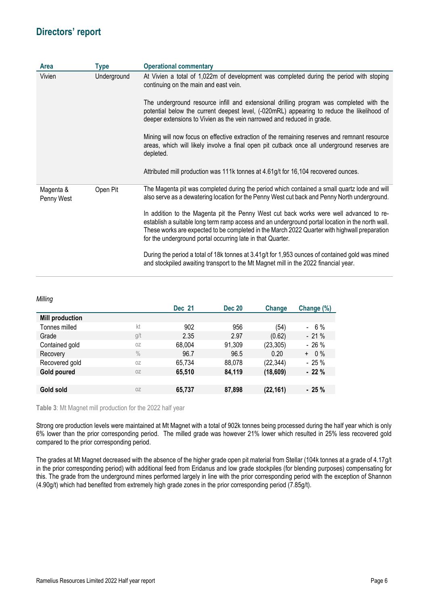| <b>Area</b>             | <b>Type</b> | <b>Operational commentary</b>                                                                                                                                                                                                                                                                                                                                                                                                                                                                                                                                                                                                                                                                                                                      |
|-------------------------|-------------|----------------------------------------------------------------------------------------------------------------------------------------------------------------------------------------------------------------------------------------------------------------------------------------------------------------------------------------------------------------------------------------------------------------------------------------------------------------------------------------------------------------------------------------------------------------------------------------------------------------------------------------------------------------------------------------------------------------------------------------------------|
| Vivien                  | Underground | At Vivien a total of 1,022m of development was completed during the period with stoping<br>continuing on the main and east vein.<br>The underground resource infill and extensional drilling program was completed with the<br>potential below the current deepest level, (-020mRL) appearing to reduce the likelihood of<br>deeper extensions to Vivien as the vein narrowed and reduced in grade.<br>Mining will now focus on effective extraction of the remaining reserves and remnant resource<br>areas, which will likely involve a final open pit cutback once all underground reserves are<br>depleted.<br>Attributed mill production was 111k tonnes at 4.61g/t for 16,104 recovered ounces.                                              |
| Magenta &<br>Penny West | Open Pit    | The Magenta pit was completed during the period which contained a small quartz lode and will<br>also serve as a dewatering location for the Penny West cut back and Penny North underground.<br>In addition to the Magenta pit the Penny West cut back works were well advanced to re-<br>establish a suitable long term ramp access and an underground portal location in the north wall.<br>These works are expected to be completed in the March 2022 Quarter with highwall preparation<br>for the underground portal occurring late in that Quarter.<br>During the period a total of 18k tonnes at 3.41g/t for 1,953 ounces of contained gold was mined<br>and stockpiled awaiting transport to the Mt Magnet mill in the 2022 financial year. |

*Milling* 

| ັ                      |               | <b>Dec 21</b> | <b>Dec 20</b> | Change    | Change (%)   |
|------------------------|---------------|---------------|---------------|-----------|--------------|
| <b>Mill production</b> |               |               |               |           |              |
| Tonnes milled          | kt            | 902           | 956           | (54)      | $-6%$        |
| Grade                  | g/t           | 2.35          | 2.97          | (0.62)    | $-21%$       |
| Contained gold         | 0Z            | 68,004        | 91,309        | (23, 305) | $-26%$       |
| Recovery               | $\frac{0}{0}$ | 96.7          | 96.5          | 0.20      | $0\%$<br>$+$ |
| Recovered gold         | 0Z            | 65,734        | 88,078        | (22, 344) | $-25%$       |
| Gold poured            | 0Z            | 65,510        | 84,119        | (18, 609) | $-22%$       |
|                        |               |               |               |           |              |
| Gold sold              | 0Z            | 65,737        | 87,898        | (22, 161) | $-25%$       |
|                        |               |               |               |           |              |

**Table 3**: Mt Magnet mill production for the 2022 half year

Strong ore production levels were maintained at Mt Magnet with a total of 902k tonnes being processed during the half year which is only 6% lower than the prior corresponding period. The milled grade was however 21% lower which resulted in 25% less recovered gold compared to the prior corresponding period.

The grades at Mt Magnet decreased with the absence of the higher grade open pit material from Stellar (104k tonnes at a grade of 4.17g/t in the prior corresponding period) with additional feed from Eridanus and low grade stockpiles (for blending purposes) compensating for this. The grade from the underground mines performed largely in line with the prior corresponding period with the exception of Shannon (4.90g/t) which had benefited from extremely high grade zones in the prior corresponding period (7.85g/t).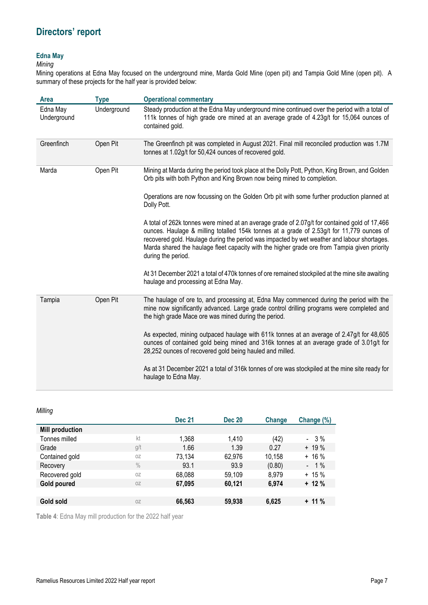### **Edna May**

### *Mining*

Mining operations at Edna May focused on the underground mine, Marda Gold Mine (open pit) and Tampia Gold Mine (open pit). A summary of these projects for the half year is provided below:

| <b>Area</b>             | <b>Type</b> | <b>Operational commentary</b>                                                                                                                                                                                                                                                                                                                                                                                   |
|-------------------------|-------------|-----------------------------------------------------------------------------------------------------------------------------------------------------------------------------------------------------------------------------------------------------------------------------------------------------------------------------------------------------------------------------------------------------------------|
| Edna May<br>Underground | Underground | Steady production at the Edna May underground mine continued over the period with a total of<br>111k tonnes of high grade ore mined at an average grade of 4.23g/t for 15,064 ounces of<br>contained gold.                                                                                                                                                                                                      |
| Greenfinch              | Open Pit    | The Greenfinch pit was completed in August 2021. Final mill reconciled production was 1.7M<br>tonnes at 1.02g/t for 50,424 ounces of recovered gold.                                                                                                                                                                                                                                                            |
| Marda                   | Open Pit    | Mining at Marda during the period took place at the Dolly Pott, Python, King Brown, and Golden<br>Orb pits with both Python and King Brown now being mined to completion.                                                                                                                                                                                                                                       |
|                         |             | Operations are now focussing on the Golden Orb pit with some further production planned at<br>Dolly Pott.                                                                                                                                                                                                                                                                                                       |
|                         |             | A total of 262k tonnes were mined at an average grade of 2.07g/t for contained gold of 17,466<br>ounces. Haulage & milling totalled 154k tonnes at a grade of 2.53g/t for 11,779 ounces of<br>recovered gold. Haulage during the period was impacted by wet weather and labour shortages.<br>Marda shared the haulage fleet capacity with the higher grade ore from Tampia given priority<br>during the period. |
|                         |             | At 31 December 2021 a total of 470k tonnes of ore remained stockpiled at the mine site awaiting<br>haulage and processing at Edna May.                                                                                                                                                                                                                                                                          |
| Tampia                  | Open Pit    | The haulage of ore to, and processing at, Edna May commenced during the period with the<br>mine now significantly advanced. Large grade control drilling programs were completed and<br>the high grade Mace ore was mined during the period.                                                                                                                                                                    |
|                         |             | As expected, mining outpaced haulage with 611k tonnes at an average of 2.47g/t for 48,605<br>ounces of contained gold being mined and 316k tonnes at an average grade of 3.01g/t for<br>28,252 ounces of recovered gold being hauled and milled.                                                                                                                                                                |
|                         |             | As at 31 December 2021 a total of 316k tonnes of ore was stockpiled at the mine site ready for<br>haulage to Edna May.                                                                                                                                                                                                                                                                                          |

*Milling* 

| ັ                      |               | <b>Dec 21</b> | <b>Dec 20</b> | Change | Change (%) |
|------------------------|---------------|---------------|---------------|--------|------------|
| <b>Mill production</b> |               |               |               |        |            |
| Tonnes milled          | kt            | 1,368         | 1,410         | (42)   | $-3%$      |
| Grade                  | g/t           | 1.66          | 1.39          | 0.27   | $+ 19 \%$  |
| Contained gold         | 0Z            | 73,134        | 62,976        | 10,158 | $+16%$     |
| Recovery               | $\frac{0}{0}$ | 93.1          | 93.9          | (0.80) | $-1\%$     |
| Recovered gold         | 0Z            | 68,088        | 59,109        | 8,979  | $+ 15 \%$  |
| Gold poured            | 0Z            | 67.095        | 60,121        | 6,974  | $+12%$     |
|                        |               |               |               |        |            |
| Gold sold              | 0Z            | 66,563        | 59,938        | 6,625  | $+11%$     |
|                        |               |               |               |        |            |

**Table 4**: Edna May mill production for the 2022 half year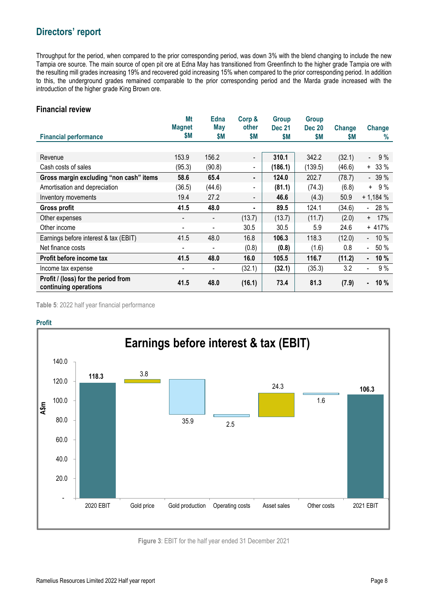Throughput for the period, when compared to the prior corresponding period, was down 3% with the blend changing to include the new Tampia ore source. The main source of open pit ore at Edna May has transitioned from Greenfinch to the higher grade Tampia ore with the resulting mill grades increasing 19% and recovered gold increasing 15% when compared to the prior corresponding period. In addition to this, the underground grades remained comparable to the prior corresponding period and the Marda grade increased with the introduction of the higher grade King Brown ore.

### **Financial review**

|                                                              | Mt<br><b>Magnet</b>      | <b>Edna</b><br>May       | Corp &<br>other          | <b>Group</b><br><b>Dec 21</b> | <b>Group</b><br><b>Dec 20</b> | Change | Change                           |
|--------------------------------------------------------------|--------------------------|--------------------------|--------------------------|-------------------------------|-------------------------------|--------|----------------------------------|
| <b>Financial performance</b>                                 | \$M                      | \$Μ                      | \$Μ                      | \$M                           | \$М                           | \$M    | $\%$                             |
|                                                              |                          |                          |                          |                               |                               |        |                                  |
| Revenue                                                      | 153.9                    | 156.2                    | $\overline{\phantom{a}}$ | 310.1                         | 342.2                         | (32.1) | 9%<br>$\sim$                     |
| Cash costs of sales                                          | (95.3)                   | (90.8)                   | $\blacksquare$           | (186.1)                       | (139.5)                       | (46.6) | $+ 33 \%$                        |
| Gross margin excluding "non cash" items                      | 58.6                     | 65.4                     | ٠                        | 124.0                         | 202.7                         | (78.7) | $-39%$                           |
| Amortisation and depreciation                                | (36.5)                   | (44.6)                   | $\blacksquare$           | (81.1)                        | (74.3)                        | (6.8)  | $+ 9\%$                          |
| Inventory movements                                          | 19.4                     | 27.2                     | $\overline{\phantom{a}}$ | 46.6                          | (4.3)                         | 50.9   | $+1,184%$                        |
| Gross profit                                                 | 41.5                     | 48.0                     | ٠.                       | 89.5                          | 124.1                         | (34.6) | 28 %<br>L,                       |
| Other expenses                                               |                          | $\overline{\phantom{a}}$ | (13.7)                   | (13.7)                        | (11.7)                        | (2.0)  | $+ 17\%$                         |
| Other income                                                 | $\overline{\phantom{a}}$ | $\blacksquare$           | 30.5                     | 30.5                          | 5.9                           | 24.6   | $+417%$                          |
| Earnings before interest & tax (EBIT)                        | 41.5                     | 48.0                     | 16.8                     | 106.3                         | 118.3                         | (12.0) | 10 %<br>$\overline{\phantom{a}}$ |
| Net finance costs                                            |                          | $\overline{\phantom{a}}$ | (0.8)                    | (0.8)                         | (1.6)                         | 0.8    | $-50%$                           |
| Profit before income tax                                     | 41.5                     | 48.0                     | 16.0                     | 105.5                         | 116.7                         | (11.2) | 10 %<br>$\blacksquare$           |
| Income tax expense                                           |                          | $\blacksquare$           | (32.1)                   | (32.1)                        | (35.3)                        | 3.2    | 9%<br>$\blacksquare$             |
| Profit / (loss) for the period from<br>continuing operations | 41.5                     | 48.0                     | (16.1)                   | 73.4                          | 81.3                          | (7.9)  | 10%<br>۰                         |

**Table 5**: 2022 half year financial performance

### **Profit**



**Figure 3**: EBIT for the half year ended 31 December 2021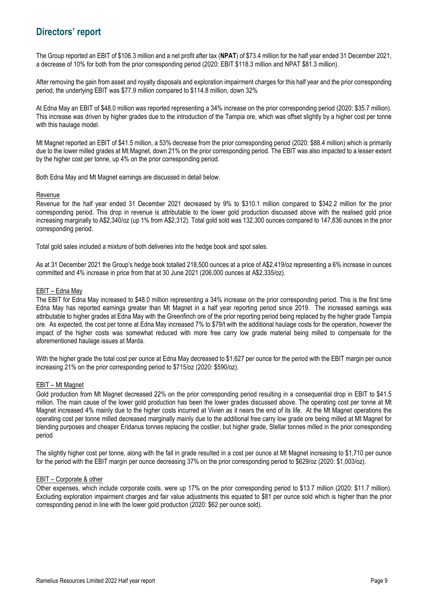The Group reported an EBIT of \$106.3 million and a net profit after tax (**NPAT**) of \$73.4 million for the half year ended 31 December 2021, a decrease of 10% for both from the prior corresponding period (2020: EBIT \$118.3 million and NPAT \$81.3 million).

After removing the gain from asset and royalty disposals and exploration impairment charges for this half year and the prior corresponding period, the underlying EBIT was \$77.9 million compared to \$114.8 million, down 32%

At Edna May an EBIT of \$48.0 million was reported representing a 34% increase on the prior corresponding period (2020: \$35.7 million). This increase was driven by higher grades due to the introduction of the Tampia ore, which was offset slightly by a higher cost per tonne with this haulage model.

Mt Magnet reported an EBIT of \$41.5 million, a 53% decrease from the prior corresponding period (2020: \$88.4 million) which is primarily due to the lower milled grades at Mt Magnet, down 21% on the prior corresponding period. The EBIT was also impacted to a lesser extent by the higher cost per tonne, up 4% on the prior corresponding period.

Both Edna May and Mt Magnet earnings are discussed in detail below.

### Revenue

Revenue for the half year ended 31 December 2021 decreased by 9% to \$310.1 million compared to \$342.2 million for the prior corresponding period. This drop in revenue is attributable to the lower gold production discussed above with the realised gold price increasing marginally to A\$2,340/oz (up 1% from A\$2,312). Total gold sold was 132,300 ounces compared to 147,836 ounces in the prior corresponding period.

Total gold sales included a mixture of both deliveries into the hedge book and spot sales.

As at 31 December 2021 the Group's hedge book totalled 218,500 ounces at a price of A\$2,419/oz representing a 6% increase in ounces committed and 4% increase in price from that at 30 June 2021 (206,000 ounces at A\$2,335/oz).

### EBIT – Edna May

The EBIT for Edna May increased to \$48.0 million representing a 34% increase on the prior corresponding period. This is the first time Edna May has reported earnings greater than Mt Magnet in a half year reporting period since 2019. The increased earnings was attributable to higher grades at Edna May with the Greenfinch ore of the prior reporting period being replaced by the higher grade Tampia ore. As expected, the cost per tonne at Edna May increased 7% to \$79/t with the additional haulage costs for the operation, however the impact of the higher costs was somewhat reduced with more free carry low grade material being milled to compensate for the aforementioned haulage issues at Marda.

With the higher grade the total cost per ounce at Edna May decreased to \$1,627 per ounce for the period with the EBIT margin per ounce increasing 21% on the prior corresponding period to \$715/oz (2020: \$590/oz).

### EBIT – Mt Magnet

Gold production from Mt Magnet decreased 22% on the prior corresponding period resulting in a consequential drop in EBIT to \$41.5 million. The main cause of the lower gold production has been the lower grades discussed above. The operating cost per tonne at Mt Magnet increased 4% mainly due to the higher costs incurred at Vivien as it nears the end of its life. At the Mt Magnet operations the operating cost per tonne milled decreased marginally mainly due to the additional free carry low grade ore being milled at Mt Magnet for blending purposes and cheaper Eridanus tonnes replacing the costlier, but higher grade, Stellar tonnes milled in the prior corresponding period

The slightly higher cost per tonne, along with the fall in grade resulted in a cost per ounce at Mt Magnet increasing to \$1,710 per ounce for the period with the EBIT margin per ounce decreasing 37% on the prior corresponding period to \$629/oz (2020: \$1,003/oz).

### EBIT – Corporate & other

Other expenses, which include corporate costs, were up 17% on the prior corresponding period to \$13.7 million (2020: \$11.7 million). Excluding exploration impairment charges and fair value adjustments this equated to \$81 per ounce sold which is higher than the prior corresponding period in line with the lower gold production (2020: \$62 per ounce sold).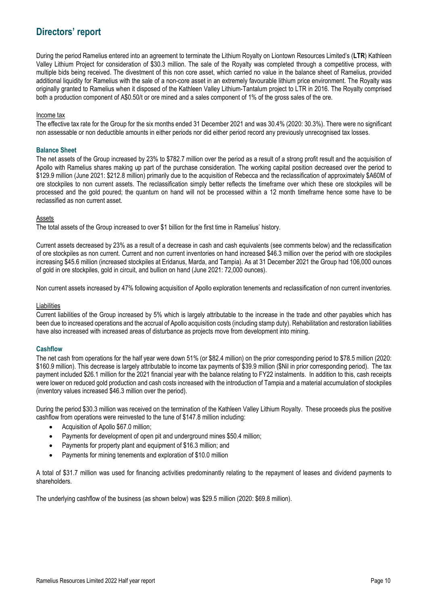During the period Ramelius entered into an agreement to terminate the Lithium Royalty on Liontown Resources Limited's (**LTR**) Kathleen Valley Lithium Project for consideration of \$30.3 million. The sale of the Royalty was completed through a competitive process, with multiple bids being received. The divestment of this non core asset, which carried no value in the balance sheet of Ramelius, provided additional liquidity for Ramelius with the sale of a non-core asset in an extremely favourable lithium price environment. The Royalty was originally granted to Ramelius when it disposed of the Kathleen Valley Lithium-Tantalum project to LTR in 2016. The Royalty comprised both a production component of A\$0.50/t or ore mined and a sales component of 1% of the gross sales of the ore.

### Income tax

The effective tax rate for the Group for the six months ended 31 December 2021 and was 30.4% (2020: 30.3%). There were no significant non assessable or non deductible amounts in either periods nor did either period record any previously unrecognised tax losses.

#### **Balance Sheet**

The net assets of the Group increased by 23% to \$782.7 million over the period as a result of a strong profit result and the acquisition of Apollo with Ramelius shares making up part of the purchase consideration. The working capital position decreased over the period to \$129.9 million (June 2021: \$212.8 million) primarily due to the acquisition of Rebecca and the reclassification of approximately \$A60M of ore stockpiles to non current assets. The reclassification simply better reflects the timeframe over which these ore stockpiles will be processed and the gold poured; the quantum on hand will not be processed within a 12 month timeframe hence some have to be reclassified as non current asset.

#### Assets

The total assets of the Group increased to over \$1 billion for the first time in Ramelius' history.

Current assets decreased by 23% as a result of a decrease in cash and cash equivalents (see comments below) and the reclassification of ore stockpiles as non current. Current and non current inventories on hand increased \$46.3 million over the period with ore stockpiles increasing \$45.6 million (increased stockpiles at Eridanus, Marda, and Tampia). As at 31 December 2021 the Group had 106,000 ounces of gold in ore stockpiles, gold in circuit, and bullion on hand (June 2021: 72,000 ounces).

Non current assets increased by 47% following acquisition of Apollo exploration tenements and reclassification of non current inventories.

#### Liabilities

Current liabilities of the Group increased by 5% which is largely attributable to the increase in the trade and other payables which has been due to increased operations and the accrual of Apollo acquisition costs (including stamp duty). Rehabilitation and restoration liabilities have also increased with increased areas of disturbance as projects move from development into mining.

### **Cashflow**

The net cash from operations for the half year were down 51% (or \$82.4 million) on the prior corresponding period to \$78.5 million (2020: \$160.9 million). This decrease is largely attributable to income tax payments of \$39.9 million (\$Nil in prior corresponding period). The tax payment included \$26.1 million for the 2021 financial year with the balance relating to FY22 instalments. In addition to this, cash receipts were lower on reduced gold production and cash costs increased with the introduction of Tampia and a material accumulation of stockpiles (inventory values increased \$46.3 million over the period).

During the period \$30.3 million was received on the termination of the Kathleen Valley Lithium Royalty. These proceeds plus the positive cashflow from operations were reinvested to the tune of \$147.8 million including:

- Acquisition of Apollo \$67.0 million;
- Payments for development of open pit and underground mines \$50.4 million;
- Payments for property plant and equipment of \$16.3 million; and
- Payments for mining tenements and exploration of \$10.0 million

A total of \$31.7 million was used for financing activities predominantly relating to the repayment of leases and dividend payments to shareholders.

The underlying cashflow of the business (as shown below) was \$29.5 million (2020: \$69.8 million).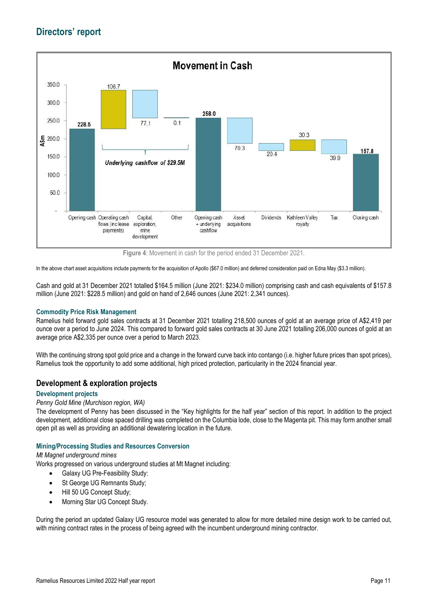

**Figure 4**: Movement in cash for the period ended 31 December 2021.

In the above chart asset acquisitions include payments for the acquisition of Apollo (\$67.0 million) and deferred consideration paid on Edna May (\$3.3 million).

Cash and gold at 31 December 2021 totalled \$164.5 million (June 2021: \$234.0 million) comprising cash and cash equivalents of \$157.8 million (June 2021: \$228.5 million) and gold on hand of 2,646 ounces (June 2021: 2,341 ounces).

### **Commodity Price Risk Management**

Ramelius held forward gold sales contracts at 31 December 2021 totalling 218,500 ounces of gold at an average price of A\$2,419 per ounce over a period to June 2024. This compared to forward gold sales contracts at 30 June 2021 totalling 206,000 ounces of gold at an average price A\$2,335 per ounce over a period to March 2023.

With the continuing strong spot gold price and a change in the forward curve back into contango (i.e. higher future prices than spot prices), Ramelius took the opportunity to add some additional, high priced protection, particularity in the 2024 financial year.

### **Development & exploration projects**

### **Development projects**

### *Penny Gold Mine (Murchison region, WA)*

The development of Penny has been discussed in the "Key highlights for the half year" section of this report. In addition to the project development, additional close spaced drilling was completed on the Columbia lode, close to the Magenta pit. This may form another small open pit as well as providing an additional dewatering location in the future.

### **Mining/Processing Studies and Resources Conversion**

### *Mt Magnet underground mines*

Works progressed on various underground studies at Mt Magnet including:

- Galaxy UG Pre-Feasibility Study:
- St George UG Remnants Study;
- Hill 50 UG Concept Study;
- Morning Star UG Concept Study.

During the period an updated Galaxy UG resource model was generated to allow for more detailed mine design work to be carried out, with mining contract rates in the process of being agreed with the incumbent underground mining contractor.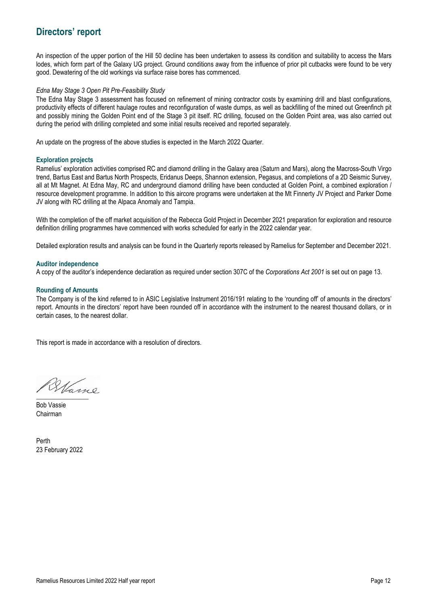An inspection of the upper portion of the Hill 50 decline has been undertaken to assess its condition and suitability to access the Mars lodes, which form part of the Galaxy UG project. Ground conditions away from the influence of prior pit cutbacks were found to be very good. Dewatering of the old workings via surface raise bores has commenced.

### *Edna May Stage 3 Open Pit Pre-Feasibility Study*

The Edna May Stage 3 assessment has focused on refinement of mining contractor costs by examining drill and blast configurations, productivity effects of different haulage routes and reconfiguration of waste dumps, as well as backfilling of the mined out Greenfinch pit and possibly mining the Golden Point end of the Stage 3 pit itself. RC drilling, focused on the Golden Point area, was also carried out during the period with drilling completed and some initial results received and reported separately.

An update on the progress of the above studies is expected in the March 2022 Quarter.

### **Exploration projects**

Ramelius' exploration activities comprised RC and diamond drilling in the Galaxy area (Saturn and Mars), along the Macross-South Virgo trend, Bartus East and Bartus North Prospects, Eridanus Deeps, Shannon extension, Pegasus, and completions of a 2D Seismic Survey, all at Mt Magnet. At Edna May, RC and underground diamond drilling have been conducted at Golden Point, a combined exploration / resource development programme. In addition to this aircore programs were undertaken at the Mt Finnerty JV Project and Parker Dome JV along with RC drilling at the Alpaca Anomaly and Tampia.

With the completion of the off market acquisition of the Rebecca Gold Project in December 2021 preparation for exploration and resource definition drilling programmes have commenced with works scheduled for early in the 2022 calendar year.

Detailed exploration results and analysis can be found in the Quarterly reports released by Ramelius for September and December 2021.

### **Auditor independence**

A copy of the auditor's independence declaration as required under section 307C of the *Corporations Act 2001* is set out on page 13.

### **Rounding of Amounts**

The Company is of the kind referred to in ASIC Legislative Instrument 2016/191 relating to the 'rounding off' of amounts in the directors' report. Amounts in the directors' report have been rounded off in accordance with the instrument to the nearest thousand dollars, or in certain cases, to the nearest dollar.

This report is made in accordance with a resolution of directors.

 $\overline{\phantom{a}}$ 

Bob Vassie Chairman

Perth 23 February 2022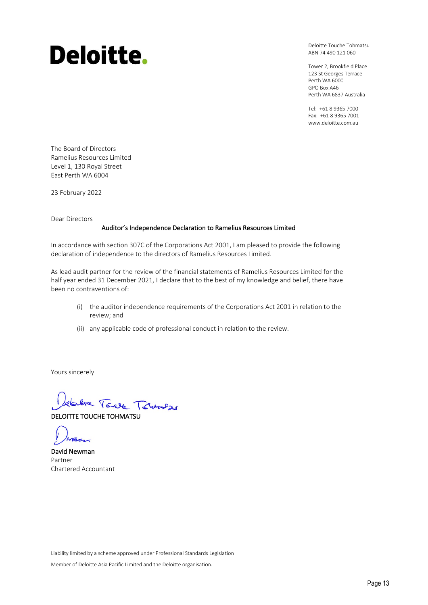# Deloitte.

Deloitte Touche Tohmatsu ABN 74 490 121 060

Tower 2, Brookfield Place 123 St Georges Terrace Perth WA 6000 GPO Box A46 Perth WA 6837 Australia

Tel: +61 8 9365 7000 Fax: +61 8 9365 7001 www.deloitte.com.au

The Board of Directors Ramelius Resources Limited Level 1, 130 Royal Street East Perth WA 6004

23 February 2022

Dear Directors

### Auditor's Independence Declaration to Ramelius Resources Limited

In accordance with section 307C of the Corporations Act 2001, I am pleased to provide the following declaration of independence to the directors of Ramelius Resources Limited.

As lead audit partner for the review of the financial statements of Ramelius Resources Limited for the half year ended 31 December 2021, I declare that to the best of my knowledge and belief, there have been no contraventions of:

- (i) the auditor independence requirements of the Corporations Act 2001 in relation to the review; and
- (ii) any applicable code of professional conduct in relation to the review.

Yours sincerely

delve Torre Towner

DELOITTE TOUCHE TOHMATSU

David Newman Partner Chartered Accountant

Liability limited by a scheme approved under Professional Standards Legislation

Member of Deloitte Asia Pacific Limited and the Deloitte organisation.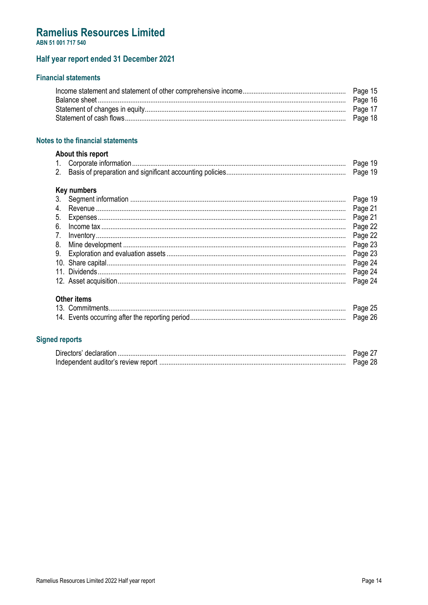### **Ramelius Resources Limited**

ABN 51 001 717 540

### Half year report ended 31 December 2021

### **Financial statements**

### Notes to the financial statements

### About this report

| . |  |
|---|--|
|   |  |

### **Key numbers**

| <b>Other items</b><br>$\sim$ $\sim$ $\sim$ $\sim$ $\sim$ |  |
|----------------------------------------------------------|--|

### **Signed reports**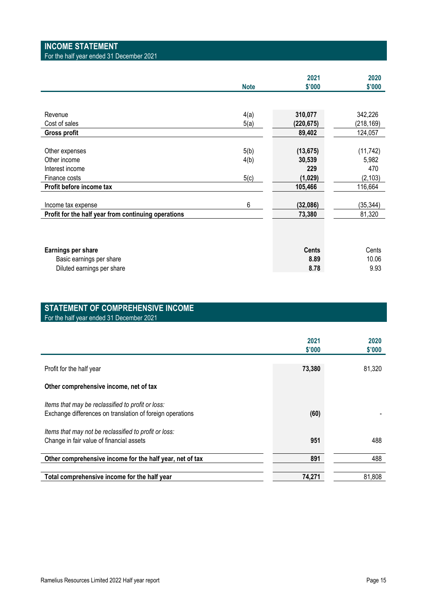### **INCOME STATEMENT**

For the half year ended 31 December 2021

|             | 2021         | 2020                |
|-------------|--------------|---------------------|
| <b>Note</b> | \$'000       | \$'000              |
|             |              |                     |
|             |              |                     |
| 4(a)        | 310,077      | 342,226             |
| 5(a)        | (220,675)    | (218, 169)          |
|             | 89,402       | 124,057             |
|             |              |                     |
| 5(b)        | (13, 675)    | (11, 742)           |
|             | 30,539       | 5,982               |
|             | 229          | 470                 |
|             |              | (2, 103)            |
|             | 105,466      | 116,664             |
|             |              |                     |
| 6           |              | (35, 344)           |
|             | 73,380       | 81,320              |
|             |              |                     |
|             |              |                     |
|             |              |                     |
|             | <b>Cents</b> | Cents               |
|             | 8.89         | 10.06               |
|             | 8.78         | 9.93                |
|             | 4(b)<br>5(c) | (1,029)<br>(32,086) |

### **STATEMENT OF COMPREHENSIVE INCOME**  For the half year ended 31 December 2021

|                                                                                                                | 2021<br>\$'000 | 2020<br>\$'000 |
|----------------------------------------------------------------------------------------------------------------|----------------|----------------|
| Profit for the half year                                                                                       | 73,380         | 81,320         |
| Other comprehensive income, net of tax                                                                         |                |                |
| Items that may be reclassified to profit or loss:<br>Exchange differences on translation of foreign operations | (60)           |                |
| Items that may not be reclassified to profit or loss:                                                          |                |                |
| Change in fair value of financial assets                                                                       | 951            | 488            |
| Other comprehensive income for the half year, net of tax                                                       | 891            | 488            |
| Total comprehensive income for the half year                                                                   | 74,271         | 81,808         |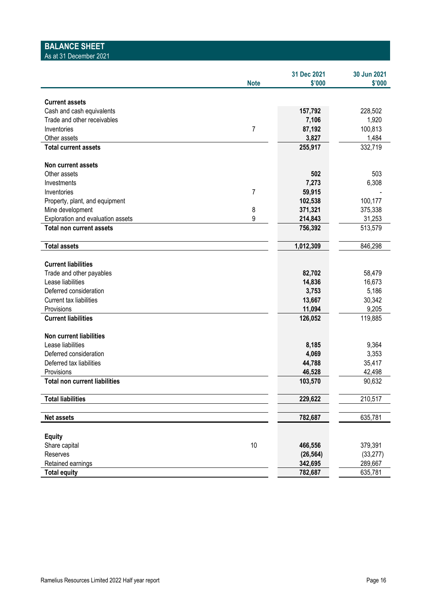| <b>BALANCE SHEET</b><br>As at 31 December 2021 |                |                       |                       |
|------------------------------------------------|----------------|-----------------------|-----------------------|
|                                                |                |                       |                       |
|                                                | <b>Note</b>    | 31 Dec 2021<br>\$'000 | 30 Jun 2021<br>\$'000 |
|                                                |                |                       |                       |
| <b>Current assets</b>                          |                |                       |                       |
| Cash and cash equivalents                      |                | 157,792               | 228,502               |
| Trade and other receivables                    |                | 7,106                 | 1,920                 |
| Inventories                                    | $\overline{7}$ | 87,192                | 100,813               |
| Other assets                                   |                | 3,827                 | 1,484                 |
| <b>Total current assets</b>                    |                | 255,917               | 332,719               |
| Non current assets                             |                |                       |                       |
| Other assets                                   |                | 502                   | 503                   |
| Investments                                    |                | 7,273                 | 6,308                 |
| Inventories                                    | 7              | 59,915                |                       |
| Property, plant, and equipment                 |                | 102,538               | 100,177               |
| Mine development                               | 8              | 371,321               | 375,338               |
| Exploration and evaluation assets              | 9              | 214,843               | 31,253                |
| <b>Total non current assets</b>                |                | 756,392               | 513,579               |
| <b>Total assets</b>                            |                | 1,012,309             | 846,298               |
| <b>Current liabilities</b>                     |                |                       |                       |
| Trade and other payables                       |                | 82,702                | 58,479                |
| Lease liabilities                              |                | 14,836                | 16,673                |
| Deferred consideration                         |                | 3,753                 | 5,186                 |
| Current tax liabilities                        |                | 13,667                | 30,342                |
| Provisions                                     |                | 11,094                | 9,205                 |
| <b>Current liabilities</b>                     |                | 126,052               | 119,885               |
| Non current liabilities                        |                |                       |                       |
| Lease liabilities                              |                | 8,185                 | 9,364                 |
| Deferred consideration                         |                | 4,069                 | 3,353                 |
| Deferred tax liabilities                       |                | 44,788                | 35,417                |
| Provisions                                     |                | 46,528                | 42,498                |
| <b>Total non current liabilities</b>           |                | 103,570               | 90,632                |
| <b>Total liabilities</b>                       |                | 229,622               | 210,517               |
| Net assets                                     |                | 782,687               | 635,781               |
|                                                |                |                       |                       |
| <b>Equity</b>                                  |                |                       |                       |
| Share capital                                  | $10$           | 466,556               | 379,391               |
| Reserves                                       |                | (26, 564)             | (33, 277)             |
| Retained earnings                              |                | 342,695               | 289,667               |
| <b>Total equity</b>                            |                | 782,687               | 635,781               |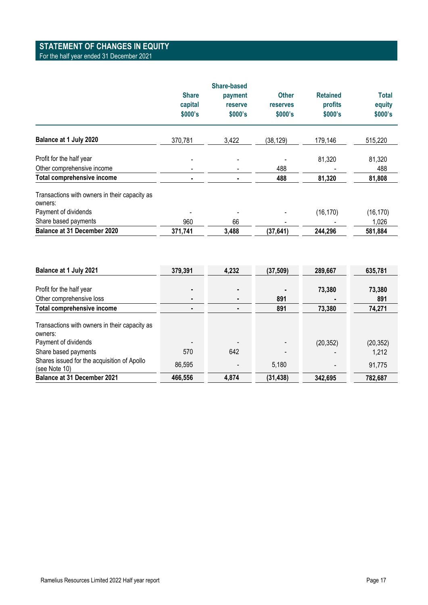### **STATEMENT OF CHANGES IN EQUITY**

### For the half year ended 31 December 2021

|                                                          |                                    | <b>Share-based</b>            |                                            |                                       |                            |
|----------------------------------------------------------|------------------------------------|-------------------------------|--------------------------------------------|---------------------------------------|----------------------------|
|                                                          | <b>Share</b><br>capital<br>\$000's | payment<br>reserve<br>\$000's | <b>Other</b><br><b>reserves</b><br>\$000's | <b>Retained</b><br>profits<br>\$000's | Total<br>equity<br>\$000's |
| Balance at 1 July 2020                                   | 370,781                            | 3,422                         | (38, 129)                                  | 179,146                               | 515,220                    |
| Profit for the half year                                 |                                    |                               |                                            | 81,320                                | 81,320                     |
| Other comprehensive income                               |                                    |                               | 488                                        |                                       | 488                        |
| <b>Total comprehensive income</b>                        | ۰                                  |                               | 488                                        | 81,320                                | 81,808                     |
| Transactions with owners in their capacity as<br>owners: |                                    |                               |                                            |                                       |                            |
| Payment of dividends                                     |                                    |                               |                                            | (16, 170)                             | (16, 170)                  |
| Share based payments                                     | 960                                | 66                            | -                                          |                                       | 1,026                      |
| Balance at 31 December 2020                              | 371,741                            | 3,488                         | (37, 641)                                  | 244,296                               | 581,884                    |

| Balance at 1 July 2021                                                           | 379,391 | 4,232                    | (37, 509) | 289,667   | 635,781   |
|----------------------------------------------------------------------------------|---------|--------------------------|-----------|-----------|-----------|
|                                                                                  |         |                          |           |           |           |
| Profit for the half year                                                         |         | $\overline{\phantom{0}}$ |           | 73,380    | 73,380    |
| Other comprehensive loss                                                         |         |                          | 891       | ٠         | 891       |
| Total comprehensive income                                                       |         |                          | 891       | 73,380    | 74,271    |
| Transactions with owners in their capacity as<br>owners:<br>Payment of dividends |         |                          |           | (20, 352) | (20, 352) |
| Share based payments                                                             | 570     | 642                      |           |           | 1,212     |
| Shares issued for the acquisition of Apollo<br>(see Note 10)                     | 86,595  |                          | 5,180     |           | 91,775    |
| <b>Balance at 31 December 2021</b>                                               | 466,556 | 4,874                    | (31, 438) | 342,695   | 782,687   |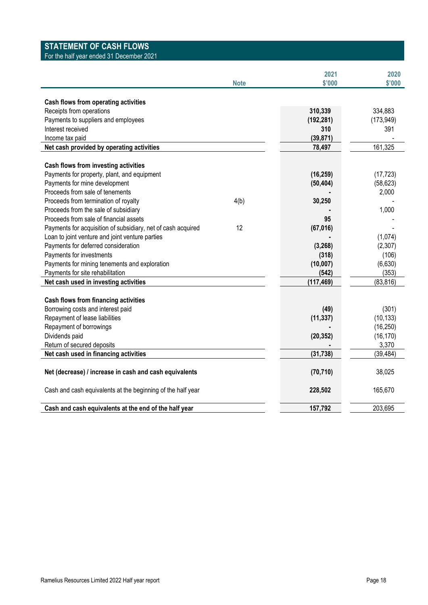### **STATEMENT OF CASH FLOWS**

For the half year ended 31 December 2021

|                                                              | <b>Note</b> | 2021<br>\$'000 | 2020<br>\$'000 |
|--------------------------------------------------------------|-------------|----------------|----------------|
| Cash flows from operating activities                         |             |                |                |
| Receipts from operations                                     |             | 310,339        | 334,883        |
| Payments to suppliers and employees                          |             | (192, 281)     | (173, 949)     |
| Interest received                                            |             | 310            | 391            |
| Income tax paid                                              |             | (39, 871)      |                |
| Net cash provided by operating activities                    |             | 78,497         | 161,325        |
|                                                              |             |                |                |
| Cash flows from investing activities                         |             |                |                |
| Payments for property, plant, and equipment                  |             | (16, 259)      | (17, 723)      |
| Payments for mine development                                |             | (50, 404)      | (58, 623)      |
| Proceeds from sale of tenements                              |             |                | 2,000          |
| Proceeds from termination of royalty                         | 4(b)        | 30,250         |                |
| Proceeds from the sale of subsidiary                         |             |                | 1,000          |
| Proceeds from sale of financial assets                       |             | 95             |                |
| Payments for acquisition of subsidiary, net of cash acquired | 12          | (67, 016)      |                |
| Loan to joint venture and joint venture parties              |             |                | (1,074)        |
| Payments for deferred consideration                          |             | (3, 268)       | (2,307)        |
| Payments for investments                                     |             | (318)          | (106)          |
| Payments for mining tenements and exploration                |             | (10,007)       | (6,630)        |
| Payments for site rehabilitation                             |             | (542)          | (353)          |
| Net cash used in investing activities                        |             | (117, 469)     | (83, 816)      |
|                                                              |             |                |                |
| Cash flows from financing activities                         |             |                |                |
| Borrowing costs and interest paid                            |             | (49)           | (301)          |
| Repayment of lease liabilities                               |             | (11, 337)      | (10, 133)      |
| Repayment of borrowings                                      |             |                | (16, 250)      |
| Dividends paid                                               |             | (20, 352)      | (16, 170)      |
| Return of secured deposits                                   |             |                | 3,370          |
| Net cash used in financing activities                        |             | (31, 738)      | (39, 484)      |
| Net (decrease) / increase in cash and cash equivalents       |             | (70, 710)      | 38,025         |
| Cash and cash equivalents at the beginning of the half year  |             | 228,502        | 165,670        |
| Cash and cash equivalents at the end of the half year        |             | 157,792        | 203,695        |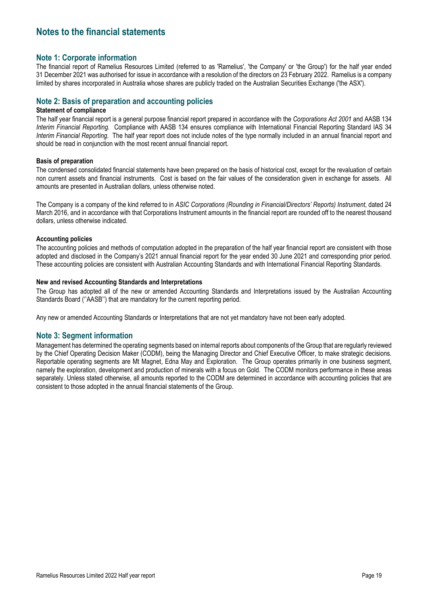### **Note 1: Corporate information**

The financial report of Ramelius Resources Limited (referred to as 'Ramelius', 'the Company' or 'the Group') for the half year ended 31 December 2021 was authorised for issue in accordance with a resolution of the directors on 23 February 2022. Ramelius is a company limited by shares incorporated in Australia whose shares are publicly traded on the Australian Securities Exchange ('the ASX').

### **Note 2: Basis of preparation and accounting policies**

#### **Statement of compliance**

The half year financial report is a general purpose financial report prepared in accordance with the *Corporations Act 2001* and AASB 134 *Interim Financial Reporting*. Compliance with AASB 134 ensures compliance with International Financial Reporting Standard IAS 34 *Interim Financial Reporting*. The half year report does not include notes of the type normally included in an annual financial report and should be read in conjunction with the most recent annual financial report.

#### **Basis of preparation**

The condensed consolidated financial statements have been prepared on the basis of historical cost, except for the revaluation of certain non current assets and financial instruments. Cost is based on the fair values of the consideration given in exchange for assets. All amounts are presented in Australian dollars, unless otherwise noted.

The Company is a company of the kind referred to in *ASIC Corporations (Rounding in Financial/Directors' Reports) Instrument*, dated 24 March 2016, and in accordance with that Corporations Instrument amounts in the financial report are rounded off to the nearest thousand dollars, unless otherwise indicated.

### **Accounting policies**

The accounting policies and methods of computation adopted in the preparation of the half year financial report are consistent with those adopted and disclosed in the Company's 2021 annual financial report for the year ended 30 June 2021 and corresponding prior period. These accounting policies are consistent with Australian Accounting Standards and with International Financial Reporting Standards.

### **New and revised Accounting Standards and Interpretations**

The Group has adopted all of the new or amended Accounting Standards and Interpretations issued by the Australian Accounting Standards Board (''AASB'') that are mandatory for the current reporting period.

Any new or amended Accounting Standards or Interpretations that are not yet mandatory have not been early adopted.

### **Note 3: Segment information**

Management has determined the operating segments based on internal reports about components of the Group that are regularly reviewed by the Chief Operating Decision Maker (CODM), being the Managing Director and Chief Executive Officer, to make strategic decisions. Reportable operating segments are Mt Magnet, Edna May and Exploration. The Group operates primarily in one business segment, namely the exploration, development and production of minerals with a focus on Gold. The CODM monitors performance in these areas separately. Unless stated otherwise, all amounts reported to the CODM are determined in accordance with accounting policies that are consistent to those adopted in the annual financial statements of the Group.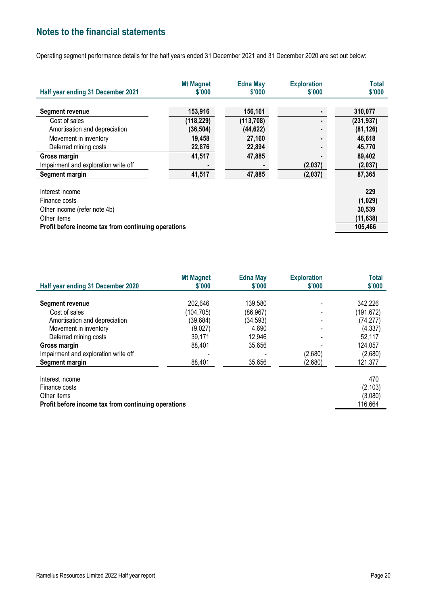Operating segment performance details for the half years ended 31 December 2021 and 31 December 2020 are set out below:

| Half year ending 31 December 2021                   | <b>Mt Magnet</b><br>\$'000 | <b>Edna May</b><br>\$'000 | <b>Exploration</b><br>\$'000 | <b>Total</b><br>\$'000 |
|-----------------------------------------------------|----------------------------|---------------------------|------------------------------|------------------------|
|                                                     |                            |                           |                              |                        |
| <b>Segment revenue</b>                              | 153,916                    | 156,161                   |                              | 310,077                |
| Cost of sales                                       | (118, 229)                 | (113, 708)                | $\blacksquare$               | (231, 937)             |
| Amortisation and depreciation                       | (36, 504)                  | (44, 622)                 |                              | (81, 126)              |
| Movement in inventory                               | 19,458                     | 27,160                    |                              | 46,618                 |
| Deferred mining costs                               | 22,876                     | 22,894                    |                              | 45,770                 |
| Gross margin                                        | 41,517                     | 47,885                    |                              | 89,402                 |
| Impairment and exploration write off                |                            | $\blacksquare$            | (2,037)                      | (2,037)                |
| Segment margin                                      | 41,517                     | 47,885                    | (2,037)                      | 87,365                 |
|                                                     |                            |                           |                              |                        |
| Interest income                                     |                            |                           |                              | 229                    |
| Finance costs                                       |                            |                           |                              | (1,029)                |
| Other income (refer note 4b)                        |                            |                           |                              | 30,539                 |
| Other items                                         |                            |                           |                              | (11, 638)              |
| Profit before income tax from continuing operations |                            |                           |                              | 105,466                |

| Half year ending 31 December 2020    | <b>Mt Magnet</b><br>\$'000 | <b>Edna May</b><br>\$'000 | <b>Exploration</b><br>\$'000 | Total<br>\$'000 |
|--------------------------------------|----------------------------|---------------------------|------------------------------|-----------------|
|                                      |                            |                           |                              |                 |
| Segment revenue                      | 202,646                    | 139,580                   |                              | 342,226         |
| Cost of sales                        | (104, 705)                 | (86, 967)                 |                              | (191, 672)      |
| Amortisation and depreciation        | (39, 684)                  | (34, 593)                 |                              | (74, 277)       |
| Movement in inventory                | (9,027)                    | 4,690                     |                              | (4, 337)        |
| Deferred mining costs                | 39,171                     | 12,946                    |                              | 52,117          |
| Gross margin                         | 88,401                     | 35,656                    |                              | 124,057         |
| Impairment and exploration write off |                            |                           | (2,680)                      | (2,680)         |
| Segment margin                       | 88,401                     | 35,656                    | (2,680)                      | 121,377         |
| Interest income                      |                            |                           |                              | 470             |
| Finance costs                        |                            |                           |                              | (2, 103)        |
| Other items                          |                            |                           |                              | (3,080)         |

**Profit before income tax from continuing operations** 116,664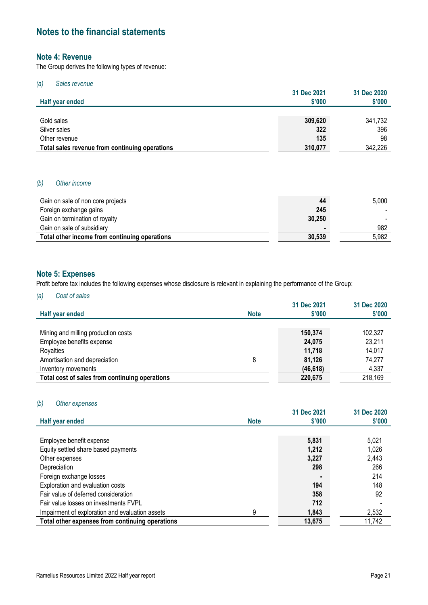### **Note 4: Revenue**

The Group derives the following types of revenue:

### *(a) Sales revenue*

| Half year ended                                | 31 Dec 2021<br>\$'000 | 31 Dec 2020<br>\$'000 |
|------------------------------------------------|-----------------------|-----------------------|
|                                                |                       |                       |
| Gold sales                                     | 309,620               | 341,732               |
| Silver sales                                   | 322                   | 396                   |
| Other revenue                                  | 135                   | 98                    |
| Total sales revenue from continuing operations | 310,077               | 342,226               |

### *(b) Other income*

| Gain on sale of non core projects             | 44     | 5,000 |
|-----------------------------------------------|--------|-------|
| Foreign exchange gains                        | 245    |       |
| Gain on termination of royalty                | 30.250 |       |
| Gain on sale of subsidiary                    |        | 982   |
| Total other income from continuing operations | 30.539 | 5.982 |

### **Note 5: Expenses**

Profit before tax includes the following expenses whose disclosure is relevant in explaining the performance of the Group:

### *(a) Cost of sales*

|                                                |             | 31 Dec 2021 | 31 Dec 2020 |
|------------------------------------------------|-------------|-------------|-------------|
| Half year ended                                | <b>Note</b> | \$'000      | \$'000      |
|                                                |             |             |             |
| Mining and milling production costs            |             | 150,374     | 102,327     |
| Employee benefits expense                      |             | 24,075      | 23,211      |
| Royalties                                      |             | 11,718      | 14,017      |
| Amortisation and depreciation                  | 8           | 81,126      | 74,277      |
| Inventory movements                            |             | (46, 618)   | 4,337       |
| Total cost of sales from continuing operations |             | 220,675     | 218,169     |

#### *(b) Other expenses*

| Half year ended                                 | <b>Note</b> | 31 Dec 2021<br>\$'000 | 31 Dec 2020<br>$$^{\prime}000$ |
|-------------------------------------------------|-------------|-----------------------|--------------------------------|
|                                                 |             |                       |                                |
| Employee benefit expense                        |             | 5,831                 | 5.021                          |
| Equity settled share based payments             |             | 1.212                 | 1,026                          |
| Other expenses                                  |             | 3.227                 | 2,443                          |
| Depreciation                                    |             | 298                   | 266                            |
| Foreign exchange losses                         |             |                       | 214                            |
| Exploration and evaluation costs                |             | 194                   | 148                            |
| Fair value of deferred consideration            |             | 358                   | 92                             |
| Fair value losses on investments FVPL           |             | 712                   |                                |
| Impairment of exploration and evaluation assets | 9           | 1.843                 | 2,532                          |
| Total other expenses from continuing operations |             | 13.675                | 11,742                         |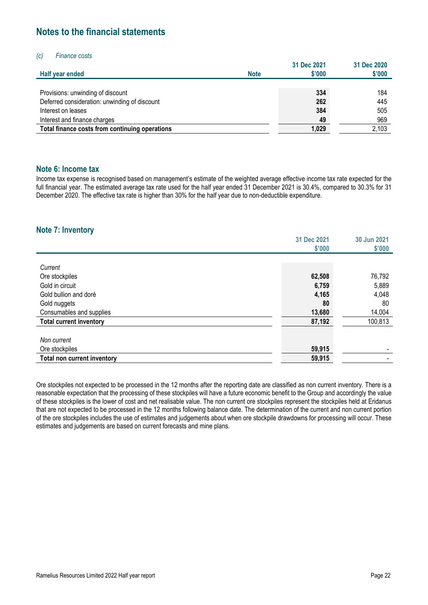### *(c) Finance costs*

|                                                |             | 31 Dec 2021 | 31 Dec 2020 |
|------------------------------------------------|-------------|-------------|-------------|
| Half year ended                                | <b>Note</b> | \$'000      | \$'000      |
|                                                |             |             |             |
| Provisions: unwinding of discount              |             | 334         | 184         |
| Deferred consideration: unwinding of discount  |             | 262         | 445         |
| Interest on leases                             |             | 384         | 505         |
| Interest and finance charges                   |             | 49          | 969         |
| Total finance costs from continuing operations |             | 1.029       | 2,103       |

### **Note 6: Income tax**

Income tax expense is recognised based on management's estimate of the weighted average effective income tax rate expected for the full financial year. The estimated average tax rate used for the half year ended 31 December 2021 is 30.4%, compared to 30.3% for 31 December 2020. The effective tax rate is higher than 30% for the half year due to non-deductible expenditure.

### **Note 7: Inventory**

|                                | 31 Dec 2021 | 30 Jun 2021 |
|--------------------------------|-------------|-------------|
|                                | \$'000      | \$'000      |
|                                |             |             |
| Current                        |             |             |
| Ore stockpiles                 | 62,508      | 76,792      |
| Gold in circuit                | 6,759       | 5,889       |
| Gold bullion and doré          | 4,165       | 4,048       |
| Gold nuggets                   | 80          | 80          |
| Consumables and supplies       | 13,680      | 14,004      |
| <b>Total current inventory</b> | 87,192      | 100,813     |
|                                |             |             |
| Non current                    |             |             |
| Ore stockpiles                 | 59,915      |             |
| Total non current inventory    | 59,915      | -           |

Ore stockpiles not expected to be processed in the 12 months after the reporting date are classified as non current inventory. There is a reasonable expectation that the processing of these stockpiles will have a future economic benefit to the Group and accordingly the value of these stockpiles is the lower of cost and net realisable value. The non current ore stockpiles represent the stockpiles held at Eridanus that are not expected to be processed in the 12 months following balance date. The determination of the current and non current portion of the ore stockpiles includes the use of estimates and judgements about when ore stockpile drawdowns for processing will occur. These estimates and judgements are based on current forecasts and mine plans.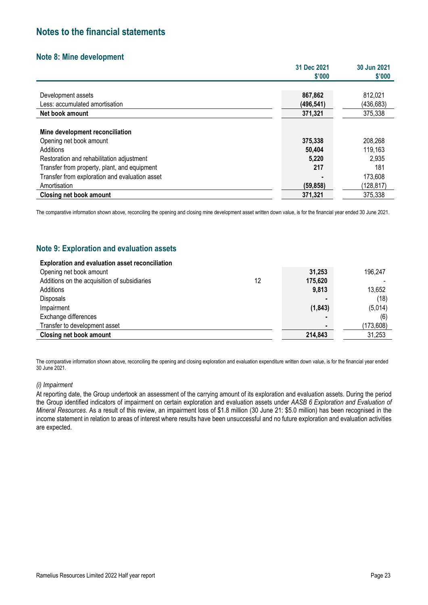### **Note 8: Mine development**

|                                                | 31 Dec 2021 | 30 Jun 2021 |
|------------------------------------------------|-------------|-------------|
|                                                | \$'000      | \$'000      |
|                                                |             |             |
| Development assets                             | 867,862     | 812,021     |
| Less: accumulated amortisation                 | (496, 541)  | (436, 683)  |
| Net book amount                                | 371,321     | 375,338     |
|                                                |             |             |
| Mine development reconciliation                |             |             |
| Opening net book amount                        | 375,338     | 208,268     |
| Additions                                      | 50,404      | 119,163     |
| Restoration and rehabilitation adjustment      | 5,220       | 2,935       |
| Transfer from property, plant, and equipment   | 217         | 181         |
| Transfer from exploration and evaluation asset |             | 173,608     |
| Amortisation                                   | (59, 858)   | (128,817)   |
| Closing net book amount                        | 371.321     | 375,338     |

The comparative information shown above, reconciling the opening and closing mine development asset written down value, is for the financial year ended 30 June 2021.

### **Note 9: Exploration and evaluation assets**

| <b>Exploration and evaluation asset reconciliation</b> |    |          |           |
|--------------------------------------------------------|----|----------|-----------|
| Opening net book amount                                |    | 31,253   | 196,247   |
| Additions on the acquisition of subsidiaries           | 12 | 175,620  |           |
| Additions                                              |    | 9,813    | 13,652    |
| <b>Disposals</b>                                       |    |          | (18)      |
| Impairment                                             |    | (1, 843) | (5,014)   |
| Exchange differences                                   |    |          | (6)       |
| Transfer to development asset                          |    |          | (173,608) |
| <b>Closing net book amount</b>                         |    | 214,843  | 31,253    |

The comparative information shown above, reconciling the opening and closing exploration and evaluation expenditure written down value, is for the financial year ended 30 June 2021.

### *(i) Impairment*

At reporting date, the Group undertook an assessment of the carrying amount of its exploration and evaluation assets. During the period the Group identified indicators of impairment on certain exploration and evaluation assets under *AASB 6 Exploration and Evaluation of Mineral Resources*. As a result of this review, an impairment loss of \$1.8 million (30 June 21: \$5.0 million) has been recognised in the income statement in relation to areas of interest where results have been unsuccessful and no future exploration and evaluation activities are expected.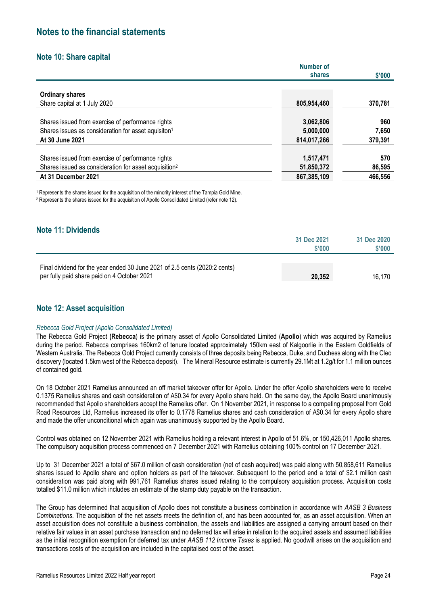### **Note 10: Share capital**

|                                                                   | <b>Number of</b> |         |
|-------------------------------------------------------------------|------------------|---------|
|                                                                   | shares           | \$'000  |
| <b>Ordinary shares</b>                                            |                  |         |
| Share capital at 1 July 2020                                      | 805,954,460      | 370,781 |
| Shares issued from exercise of performance rights                 | 3,062,806        | 960     |
| Shares issues as consideration for asset aquisiton <sup>1</sup>   | 5,000,000        | 7,650   |
| At 30 June 2021                                                   | 814,017,266      | 379,391 |
|                                                                   |                  |         |
| Shares issued from exercise of performance rights                 | 1,517,471        | 570     |
| Shares issued as consideration for asset acquisition <sup>2</sup> | 51,850,372       | 86,595  |
| At 31 December 2021                                               | 867,385,109      | 466,556 |

<sup>1</sup> Represents the shares issued for the acquisition of the minority interest of the Tampia Gold Mine.

2 Represents the shares issued for the acquisition of Apollo Consolidated Limited (refer note 12).

### **Note 11: Dividends**

|                                                                                                                           | 31 Dec 2021<br>\$'000 | 31 Dec 2020<br>\$'000 |
|---------------------------------------------------------------------------------------------------------------------------|-----------------------|-----------------------|
| Final dividend for the year ended 30 June 2021 of 2.5 cents (2020:2 cents)<br>per fully paid share paid on 4 October 2021 | 20.352                | 16.170                |

### **Note 12: Asset acquisition**

### *Rebecca Gold Project (Apollo Consolidated Limited)*

The Rebecca Gold Project **(Rebecca**) is the primary asset of Apollo Consolidated Limited (**Apollo**) which was acquired by Ramelius during the period. Rebecca comprises 160km2 of tenure located approximately 150km east of Kalgoorlie in the Eastern Goldfields of Western Australia. The Rebecca Gold Project currently consists of three deposits being Rebecca, Duke, and Duchess along with the Cleo discovery (located 1.5km west of the Rebecca deposit). The Mineral Resource estimate is currently 29.1Mt at 1.2g/t for 1.1 million ounces of contained gold.

On 18 October 2021 Ramelius announced an off market takeover offer for Apollo. Under the offer Apollo shareholders were to receive 0.1375 Ramelius shares and cash consideration of A\$0.34 for every Apollo share held. On the same day, the Apollo Board unanimously recommended that Apollo shareholders accept the Ramelius offer. On 1 November 2021, in response to a competing proposal from Gold Road Resources Ltd, Ramelius increased its offer to 0.1778 Ramelius shares and cash consideration of A\$0.34 for every Apollo share and made the offer unconditional which again was unanimously supported by the Apollo Board.

Control was obtained on 12 November 2021 with Ramelius holding a relevant interest in Apollo of 51.6%, or 150,426,011 Apollo shares. The compulsory acquisition process commenced on 7 December 2021 with Ramelius obtaining 100% control on 17 December 2021.

Up to 31 December 2021 a total of \$67.0 million of cash consideration (net of cash acquired) was paid along with 50,858,611 Ramelius shares issued to Apollo share and option holders as part of the takeover. Subsequent to the period end a total of \$2.1 million cash consideration was paid along with 991,761 Ramelius shares issued relating to the compulsory acquisition process. Acquisition costs totalled \$11.0 million which includes an estimate of the stamp duty payable on the transaction.

The Group has determined that acquisition of Apollo does not constitute a business combination in accordance with *AASB 3 Business Combinations*. The acquisition of the net assets meets the definition of, and has been accounted for, as an asset acquisition. When an asset acquisition does not constitute a business combination, the assets and liabilities are assigned a carrying amount based on their relative fair values in an asset purchase transaction and no deferred tax will arise in relation to the acquired assets and assumed liabilities as the initial recognition exemption for deferred tax under *AASB 112 Income Taxes* is applied. No goodwill arises on the acquisition and transactions costs of the acquisition are included in the capitalised cost of the asset.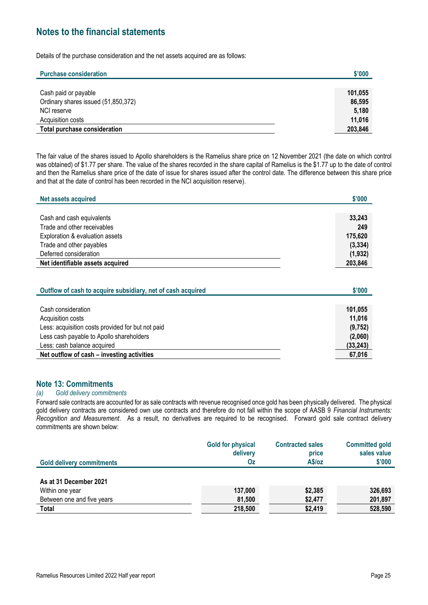Details of the purchase consideration and the net assets acquired are as follows:

| <b>Purchase consideration</b>       | \$'000  |
|-------------------------------------|---------|
|                                     |         |
| Cash paid or payable                | 101,055 |
| Ordinary shares issued (51,850,372) | 86,595  |
| NCI reserve                         | 5,180   |
| Acquisition costs                   | 11,016  |
| <b>Total purchase consideration</b> | 203,846 |

The fair value of the shares issued to Apollo shareholders is the Ramelius share price on 12 November 2021 (the date on which control was obtained) of \$1.77 per share. The value of the shares recorded in the share capital of Ramelius is the \$1.77 up to the date of control and then the Ramelius share price of the date of issue for shares issued after the control date. The difference between this share price and that at the date of control has been recorded in the NCI acquisition reserve).

| Net assets acquired              | \$'000   |
|----------------------------------|----------|
|                                  |          |
| Cash and cash equivalents        | 33,243   |
| Trade and other receivables      | 249      |
| Exploration & evaluation assets  | 175,620  |
| Trade and other payables         | (3, 334) |
| Deferred consideration           | (1, 932) |
| Net identifiable assets acquired | 203.846  |

| Outflow of cash to acquire subsidiary, net of cash acquired | \$'000    |
|-------------------------------------------------------------|-----------|
|                                                             |           |
| Cash consideration                                          | 101.055   |
| Acquisition costs                                           | 11.016    |
| Less: acquisition costs provided for but not paid           | (9,752)   |
| Less cash payable to Apollo shareholders                    | (2,060)   |
| Less: cash balance acquired                                 | (33, 243) |
| Net outflow of cash - investing activities                  | 67,016    |

### **Note 13: Commitments**

#### *(a) Gold delivery commitments*

Forward sale contracts are accounted for as sale contracts with revenue recognised once gold has been physically delivered. The physical gold delivery contracts are considered own use contracts and therefore do not fall within the scope of AASB 9 *Financial Instruments: Recognition and Measurement*. As a result, no derivatives are required to be recognised. Forward gold sale contract delivery commitments are shown below:

| <b>Gold delivery commitments</b> | <b>Gold for physical</b><br>delivery<br>Oz | <b>Contracted sales</b><br>price<br>A\$/oz | <b>Committed gold</b><br>sales value<br>\$'000 |
|----------------------------------|--------------------------------------------|--------------------------------------------|------------------------------------------------|
| As at 31 December 2021           |                                            |                                            |                                                |
|                                  |                                            |                                            |                                                |
| Within one year                  | 137,000                                    | \$2,385                                    | 326,693                                        |
| Between one and five years       | 81,500                                     | \$2,477                                    | 201,897                                        |
| Total                            | 218,500                                    | \$2,419                                    | 528,590                                        |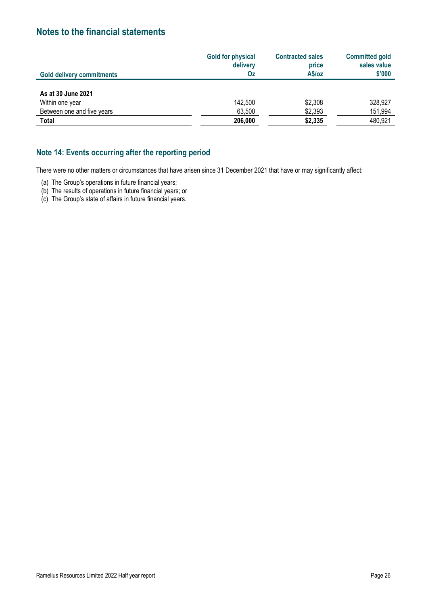|                                  | <b>Gold for physical</b><br>delivery | <b>Contracted sales</b><br>price | <b>Committed gold</b><br>sales value |
|----------------------------------|--------------------------------------|----------------------------------|--------------------------------------|
| <b>Gold delivery commitments</b> | <b>Oz</b>                            | A\$/oz                           | \$'000                               |
|                                  |                                      |                                  |                                      |
| As at 30 June 2021               |                                      |                                  |                                      |
| Within one year                  | 142,500                              | \$2,308                          | 328,927                              |
| Between one and five years       | 63,500                               | \$2,393                          | 151,994                              |
| <b>Total</b>                     | 206,000                              | \$2,335                          | 480,921                              |

### **Note 14: Events occurring after the reporting period**

There were no other matters or circumstances that have arisen since 31 December 2021 that have or may significantly affect:

(a) The Group's operations in future financial years;

(b) The results of operations in future financial years; or

(c) The Group's state of affairs in future financial years.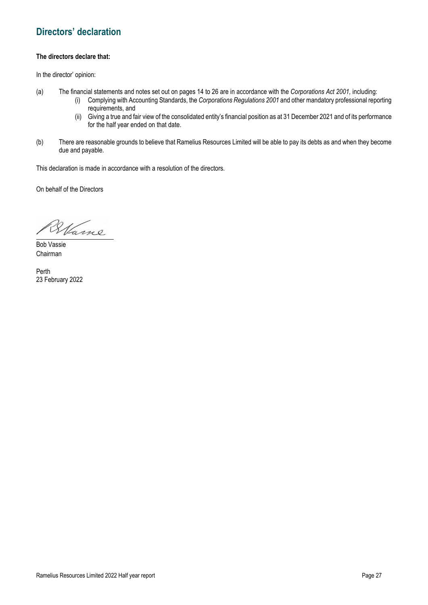### **Directors' declaration**

### **The directors declare that:**

In the director' opinion:

- (a) The financial statements and notes set out on pages 14 to 26 are in accordance with the *Corporations Act 2001,* including:
	- (i) Complying with Accounting Standards, the *Corporations Regulations 2001* and other mandatory professional reporting requirements, and
	- (ii) Giving a true and fair view of the consolidated entity's financial position as at 31 December 2021 and of its performance for the half year ended on that date.
- (b) There are reasonable grounds to believe that Ramelius Resources Limited will be able to pay its debts as and when they become due and payable.

This declaration is made in accordance with a resolution of the directors.

On behalf of the Directors

Hame  $\overline{\phantom{a}}$ 

Bob Vassie Chairman

Perth 23 February 2022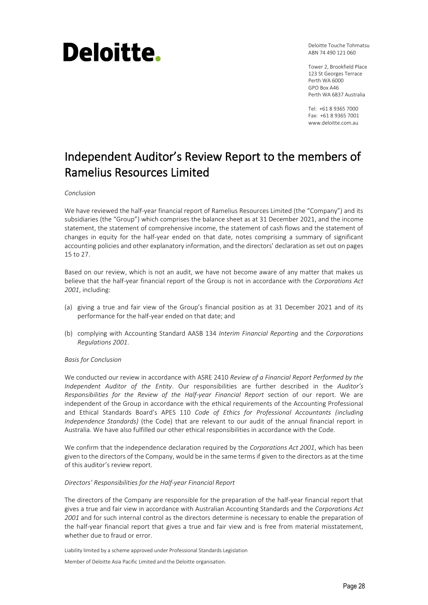# Deloitte.

Deloitte Touche Tohmatsu ABN 74 490 121 060

Tower 2, Brookfield Place 123 St Georges Terrace Perth WA 6000 GPO Box A46 Perth WA 6837 Australia

Tel: +61 8 9365 7000 Fax: +61 8 9365 7001 www.deloitte.com.au

### Independent Auditor's Review Report to the members of Ramelius Resources Limited

#### *Conclusion*

We have reviewed the half-year financial report of Ramelius Resources Limited (the "Company") and its subsidiaries (the "Group") which comprises the balance sheet as at 31 December 2021, and the income statement, the statement of comprehensive income, the statement of cash flows and the statement of changes in equity for the half-year ended on that date, notes comprising a summary of significant accounting policies and other explanatory information, and the directors' declaration as set out on pages 15 to 27.

Based on our review, which is not an audit, we have not become aware of any matter that makes us believe that the half-year financial report of the Group is not in accordance with the *Corporations Act 2001*, including:

- (a) giving a true and fair view of the Group's financial position as at 31 December 2021 and of its performance for the half-year ended on that date; and
- (b) complying with Accounting Standard AASB 134 *Interim Financial Reporting* and the *Corporations Regulations 2001*.

### *Basis for Conclusion*

We conducted our review in accordance with ASRE 2410 *Review of a Financial Report Performed by the Independent Auditor of the Entity*. Our responsibilities are further described in the *Auditor's Responsibilities for the Review of the Half-year Financial Report* section of our report. We are independent of the Group in accordance with the ethical requirements of the Accounting Professional and Ethical Standards Board's APES 110 *Code of Ethics for Professional Accountants (including Independence Standards)* (the Code) that are relevant to our audit of the annual financial report in Australia. We have also fulfilled our other ethical responsibilities in accordance with the Code.

We confirm that the independence declaration required by the *Corporations Act 2001*, which has been given to the directors of the Company, would be in the same terms if given to the directors as at the time of this auditor's review report.

### *Directors' Responsibilities for the Half-year Financial Report*

The directors of the Company are responsible for the preparation of the half-year financial report that gives a true and fair view in accordance with Australian Accounting Standards and the *Corporations Act 2001* and for such internal control as the directors determine is necessary to enable the preparation of the half-year financial report that gives a true and fair view and is free from material misstatement, whether due to fraud or error.

Liability limited by a scheme approved under Professional Standards Legislation

Member of Deloitte Asia Pacific Limited and the Deloitte organisation.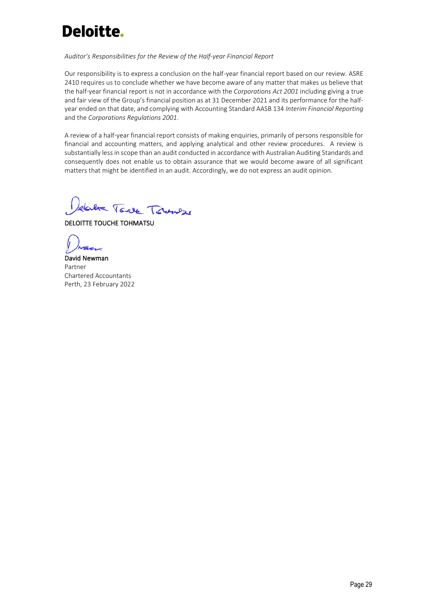## Deloitte.

### *Auditor's Responsibilities for the Review of the Half-year Financial Report*

Our responsibility is to express a conclusion on the half-year financial report based on our review. ASRE 2410 requires us to conclude whether we have become aware of any matter that makes us believe that the half-year financial report is not in accordance with the *Corporations Act 2001* including giving a true and fair view of the Group's financial position as at 31 December 2021 and its performance for the halfyear ended on that date, and complying with Accounting Standard AASB 134 *Interim Financial Reporting* and the *Corporations Regulations 2001*.

A review of a half-year financial report consists of making enquiries, primarily of persons responsible for financial and accounting matters, and applying analytical and other review procedures. A review is substantially less in scope than an audit conducted in accordance with Australian Auditing Standards and consequently does not enable us to obtain assurance that we would become aware of all significant matters that might be identified in an audit. Accordingly, we do not express an audit opinion.

dalve Tore Towner

DELOITTE TOUCHE TOHMATSU

David Newman Partner Chartered Accountants Perth, 23 February 2022